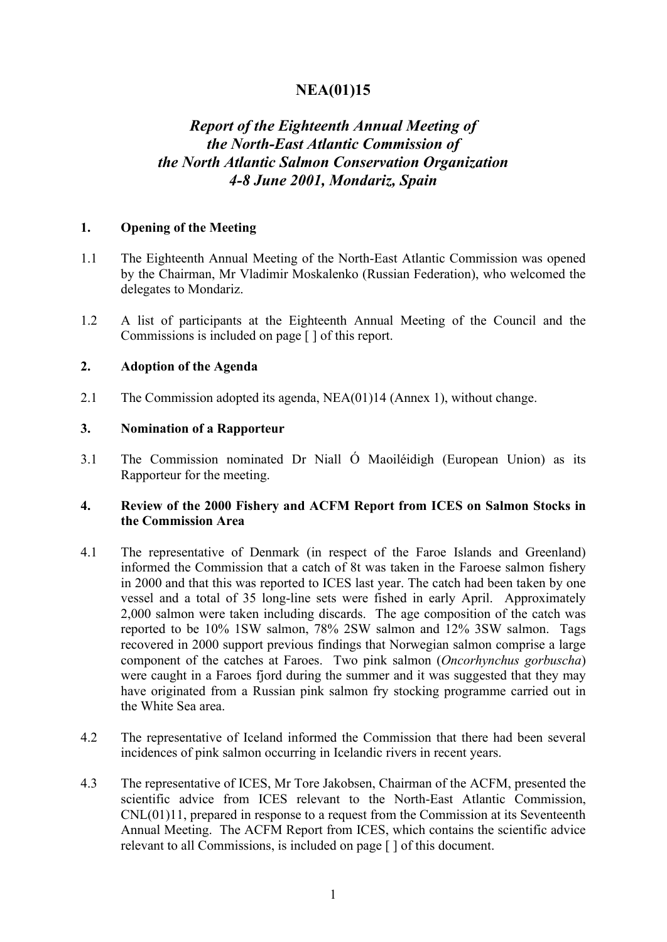## **NEA(01)15**

# *Report of the Eighteenth Annual Meeting of the North-East Atlantic Commission of the North Atlantic Salmon Conservation Organization 4-8 June 2001, Mondariz, Spain*

#### **1. Opening of the Meeting**

- 1.1 The Eighteenth Annual Meeting of the North-East Atlantic Commission was opened by the Chairman, Mr Vladimir Moskalenko (Russian Federation), who welcomed the delegates to Mondariz.
- 1.2 A list of participants at the Eighteenth Annual Meeting of the Council and the Commissions is included on page [ ] of this report.

#### **2. Adoption of the Agenda**

2.1 The Commission adopted its agenda, NEA(01)14 (Annex 1), without change.

#### **3. Nomination of a Rapporteur**

3.1 The Commission nominated Dr Niall Ó Maoiléidigh (European Union) as its Rapporteur for the meeting.

## **4. Review of the 2000 Fishery and ACFM Report from ICES on Salmon Stocks in the Commission Area**

- 4.1 The representative of Denmark (in respect of the Faroe Islands and Greenland) informed the Commission that a catch of 8t was taken in the Faroese salmon fishery in 2000 and that this was reported to ICES last year. The catch had been taken by one vessel and a total of 35 long-line sets were fished in early April. Approximately 2,000 salmon were taken including discards. The age composition of the catch was reported to be 10% 1SW salmon, 78% 2SW salmon and 12% 3SW salmon. Tags recovered in 2000 support previous findings that Norwegian salmon comprise a large component of the catches at Faroes. Two pink salmon (*Oncorhynchus gorbuscha*) were caught in a Faroes fjord during the summer and it was suggested that they may have originated from a Russian pink salmon fry stocking programme carried out in the White Sea area.
- 4.2 The representative of Iceland informed the Commission that there had been several incidences of pink salmon occurring in Icelandic rivers in recent years.
- 4.3 The representative of ICES, Mr Tore Jakobsen, Chairman of the ACFM, presented the scientific advice from ICES relevant to the North-East Atlantic Commission, CNL(01)11, prepared in response to a request from the Commission at its Seventeenth Annual Meeting. The ACFM Report from ICES, which contains the scientific advice relevant to all Commissions, is included on page [ ] of this document.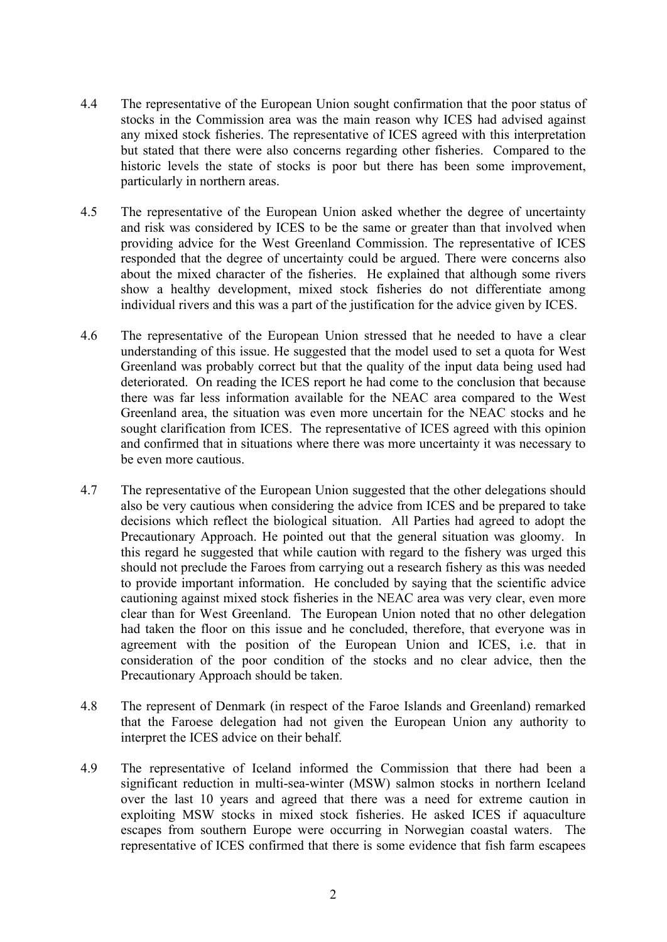- 4.4 The representative of the European Union sought confirmation that the poor status of stocks in the Commission area was the main reason why ICES had advised against any mixed stock fisheries. The representative of ICES agreed with this interpretation but stated that there were also concerns regarding other fisheries. Compared to the historic levels the state of stocks is poor but there has been some improvement, particularly in northern areas.
- 4.5 The representative of the European Union asked whether the degree of uncertainty and risk was considered by ICES to be the same or greater than that involved when providing advice for the West Greenland Commission. The representative of ICES responded that the degree of uncertainty could be argued. There were concerns also about the mixed character of the fisheries. He explained that although some rivers show a healthy development, mixed stock fisheries do not differentiate among individual rivers and this was a part of the justification for the advice given by ICES.
- 4.6 The representative of the European Union stressed that he needed to have a clear understanding of this issue. He suggested that the model used to set a quota for West Greenland was probably correct but that the quality of the input data being used had deteriorated. On reading the ICES report he had come to the conclusion that because there was far less information available for the NEAC area compared to the West Greenland area, the situation was even more uncertain for the NEAC stocks and he sought clarification from ICES. The representative of ICES agreed with this opinion and confirmed that in situations where there was more uncertainty it was necessary to be even more cautious.
- 4.7 The representative of the European Union suggested that the other delegations should also be very cautious when considering the advice from ICES and be prepared to take decisions which reflect the biological situation. All Parties had agreed to adopt the Precautionary Approach. He pointed out that the general situation was gloomy. In this regard he suggested that while caution with regard to the fishery was urged this should not preclude the Faroes from carrying out a research fishery as this was needed to provide important information. He concluded by saying that the scientific advice cautioning against mixed stock fisheries in the NEAC area was very clear, even more clear than for West Greenland. The European Union noted that no other delegation had taken the floor on this issue and he concluded, therefore, that everyone was in agreement with the position of the European Union and ICES, i.e. that in consideration of the poor condition of the stocks and no clear advice, then the Precautionary Approach should be taken.
- 4.8 The represent of Denmark (in respect of the Faroe Islands and Greenland) remarked that the Faroese delegation had not given the European Union any authority to interpret the ICES advice on their behalf.
- 4.9 The representative of Iceland informed the Commission that there had been a significant reduction in multi-sea-winter (MSW) salmon stocks in northern Iceland over the last 10 years and agreed that there was a need for extreme caution in exploiting MSW stocks in mixed stock fisheries. He asked ICES if aquaculture escapes from southern Europe were occurring in Norwegian coastal waters. The representative of ICES confirmed that there is some evidence that fish farm escapees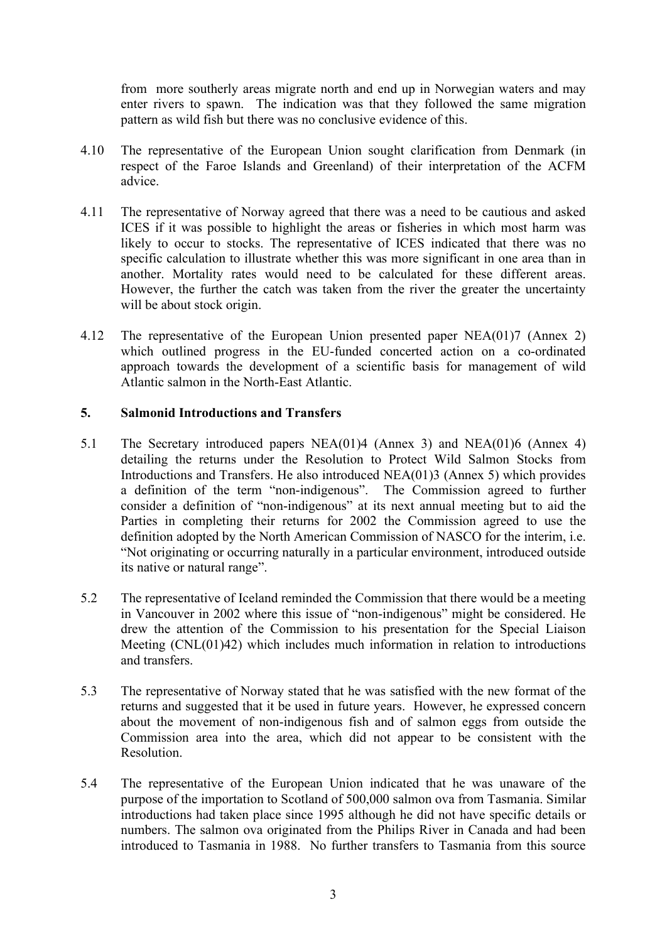from more southerly areas migrate north and end up in Norwegian waters and may enter rivers to spawn. The indication was that they followed the same migration pattern as wild fish but there was no conclusive evidence of this.

- 4.10 The representative of the European Union sought clarification from Denmark (in respect of the Faroe Islands and Greenland) of their interpretation of the ACFM advice.
- 4.11 The representative of Norway agreed that there was a need to be cautious and asked ICES if it was possible to highlight the areas or fisheries in which most harm was likely to occur to stocks. The representative of ICES indicated that there was no specific calculation to illustrate whether this was more significant in one area than in another. Mortality rates would need to be calculated for these different areas. However, the further the catch was taken from the river the greater the uncertainty will be about stock origin.
- 4.12 The representative of the European Union presented paper NEA(01)7 (Annex 2) which outlined progress in the EU-funded concerted action on a co-ordinated approach towards the development of a scientific basis for management of wild Atlantic salmon in the North-East Atlantic.

#### **5. Salmonid Introductions and Transfers**

- 5.1 The Secretary introduced papers NEA(01)4 (Annex 3) and NEA(01)6 (Annex 4) detailing the returns under the Resolution to Protect Wild Salmon Stocks from Introductions and Transfers. He also introduced NEA(01)3 (Annex 5) which provides a definition of the term "non-indigenous". The Commission agreed to further consider a definition of "non-indigenous" at its next annual meeting but to aid the Parties in completing their returns for 2002 the Commission agreed to use the definition adopted by the North American Commission of NASCO for the interim, i.e. "Not originating or occurring naturally in a particular environment, introduced outside its native or natural range".
- 5.2 The representative of Iceland reminded the Commission that there would be a meeting in Vancouver in 2002 where this issue of "non-indigenous" might be considered. He drew the attention of the Commission to his presentation for the Special Liaison Meeting (CNL(01)42) which includes much information in relation to introductions and transfers.
- 5.3 The representative of Norway stated that he was satisfied with the new format of the returns and suggested that it be used in future years. However, he expressed concern about the movement of non-indigenous fish and of salmon eggs from outside the Commission area into the area, which did not appear to be consistent with the Resolution.
- 5.4 The representative of the European Union indicated that he was unaware of the purpose of the importation to Scotland of 500,000 salmon ova from Tasmania. Similar introductions had taken place since 1995 although he did not have specific details or numbers. The salmon ova originated from the Philips River in Canada and had been introduced to Tasmania in 1988. No further transfers to Tasmania from this source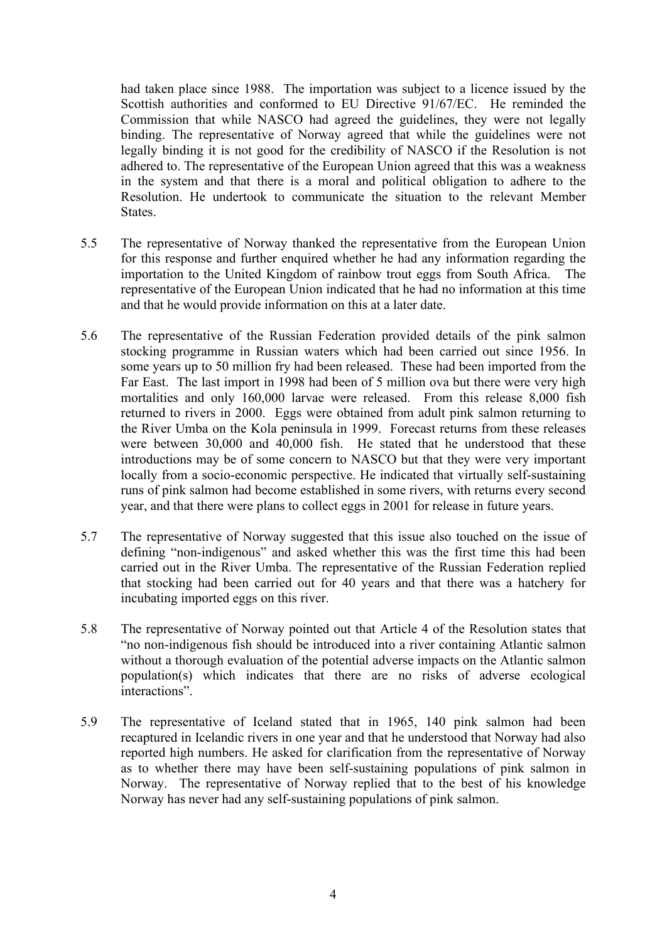had taken place since 1988. The importation was subject to a licence issued by the Scottish authorities and conformed to EU Directive 91/67/EC. He reminded the Commission that while NASCO had agreed the guidelines, they were not legally binding. The representative of Norway agreed that while the guidelines were not legally binding it is not good for the credibility of NASCO if the Resolution is not adhered to. The representative of the European Union agreed that this was a weakness in the system and that there is a moral and political obligation to adhere to the Resolution. He undertook to communicate the situation to the relevant Member **States** 

- 5.5 The representative of Norway thanked the representative from the European Union for this response and further enquired whether he had any information regarding the importation to the United Kingdom of rainbow trout eggs from South Africa. The representative of the European Union indicated that he had no information at this time and that he would provide information on this at a later date.
- 5.6 The representative of the Russian Federation provided details of the pink salmon stocking programme in Russian waters which had been carried out since 1956. In some years up to 50 million fry had been released. These had been imported from the Far East. The last import in 1998 had been of 5 million ova but there were very high mortalities and only 160,000 larvae were released. From this release 8,000 fish returned to rivers in 2000. Eggs were obtained from adult pink salmon returning to the River Umba on the Kola peninsula in 1999. Forecast returns from these releases were between 30,000 and 40,000 fish. He stated that he understood that these introductions may be of some concern to NASCO but that they were very important locally from a socio-economic perspective. He indicated that virtually self-sustaining runs of pink salmon had become established in some rivers, with returns every second year, and that there were plans to collect eggs in 2001 for release in future years.
- 5.7 The representative of Norway suggested that this issue also touched on the issue of defining "non-indigenous" and asked whether this was the first time this had been carried out in the River Umba. The representative of the Russian Federation replied that stocking had been carried out for 40 years and that there was a hatchery for incubating imported eggs on this river.
- 5.8 The representative of Norway pointed out that Article 4 of the Resolution states that "no non-indigenous fish should be introduced into a river containing Atlantic salmon without a thorough evaluation of the potential adverse impacts on the Atlantic salmon population(s) which indicates that there are no risks of adverse ecological interactions".
- 5.9 The representative of Iceland stated that in 1965, 140 pink salmon had been recaptured in Icelandic rivers in one year and that he understood that Norway had also reported high numbers. He asked for clarification from the representative of Norway as to whether there may have been self-sustaining populations of pink salmon in Norway. The representative of Norway replied that to the best of his knowledge Norway has never had any self-sustaining populations of pink salmon.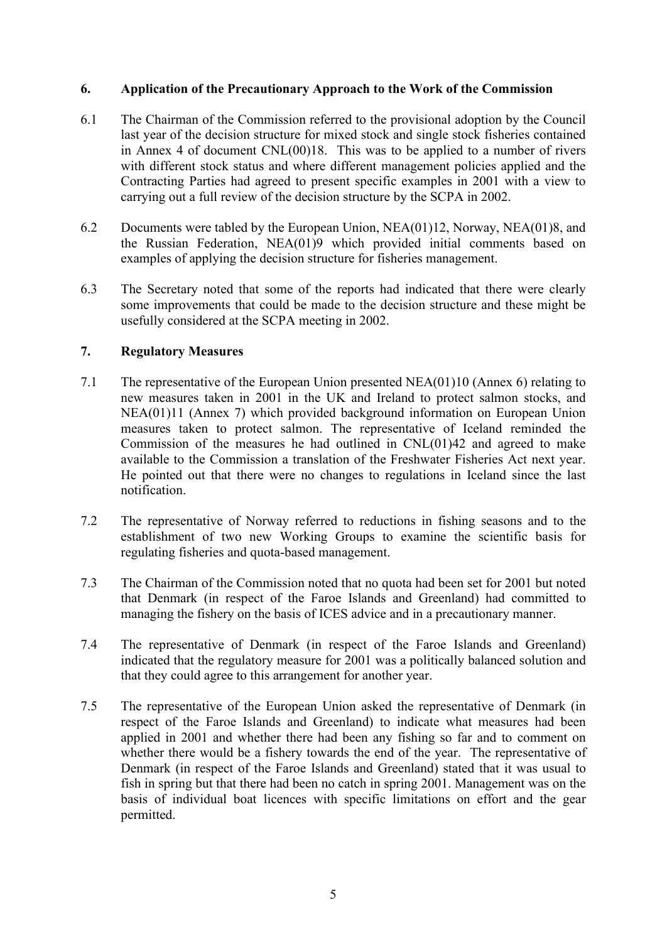#### **6. Application of the Precautionary Approach to the Work of the Commission**

- 6.1 The Chairman of the Commission referred to the provisional adoption by the Council last year of the decision structure for mixed stock and single stock fisheries contained in Annex 4 of document CNL(00)18. This was to be applied to a number of rivers with different stock status and where different management policies applied and the Contracting Parties had agreed to present specific examples in 2001 with a view to carrying out a full review of the decision structure by the SCPA in 2002.
- 6.2 Documents were tabled by the European Union, NEA(01)12, Norway, NEA(01)8, and the Russian Federation, NEA(01)9 which provided initial comments based on examples of applying the decision structure for fisheries management.
- 6.3 The Secretary noted that some of the reports had indicated that there were clearly some improvements that could be made to the decision structure and these might be usefully considered at the SCPA meeting in 2002.

## **7. Regulatory Measures**

- 7.1 The representative of the European Union presented NEA(01)10 (Annex 6) relating to new measures taken in 2001 in the UK and Ireland to protect salmon stocks, and NEA(01)11 (Annex 7) which provided background information on European Union measures taken to protect salmon. The representative of Iceland reminded the Commission of the measures he had outlined in CNL(01)42 and agreed to make available to the Commission a translation of the Freshwater Fisheries Act next year. He pointed out that there were no changes to regulations in Iceland since the last notification.
- 7.2 The representative of Norway referred to reductions in fishing seasons and to the establishment of two new Working Groups to examine the scientific basis for regulating fisheries and quota-based management.
- 7.3 The Chairman of the Commission noted that no quota had been set for 2001 but noted that Denmark (in respect of the Faroe Islands and Greenland) had committed to managing the fishery on the basis of ICES advice and in a precautionary manner.
- 7.4 The representative of Denmark (in respect of the Faroe Islands and Greenland) indicated that the regulatory measure for 2001 was a politically balanced solution and that they could agree to this arrangement for another year.
- 7.5 The representative of the European Union asked the representative of Denmark (in respect of the Faroe Islands and Greenland) to indicate what measures had been applied in 2001 and whether there had been any fishing so far and to comment on whether there would be a fishery towards the end of the year. The representative of Denmark (in respect of the Faroe Islands and Greenland) stated that it was usual to fish in spring but that there had been no catch in spring 2001. Management was on the basis of individual boat licences with specific limitations on effort and the gear permitted.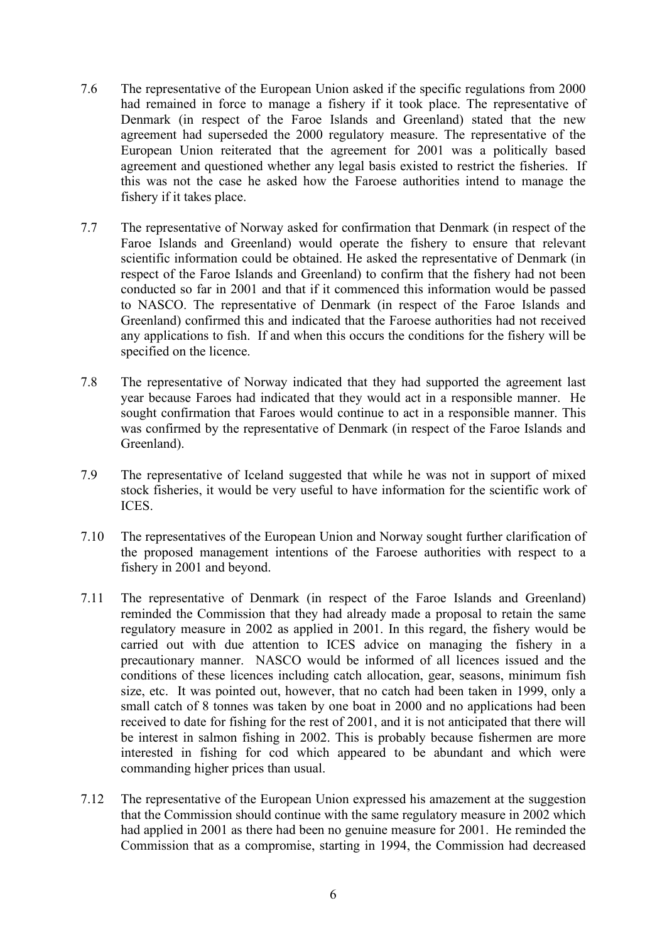- 7.6 The representative of the European Union asked if the specific regulations from 2000 had remained in force to manage a fishery if it took place. The representative of Denmark (in respect of the Faroe Islands and Greenland) stated that the new agreement had superseded the 2000 regulatory measure. The representative of the European Union reiterated that the agreement for 2001 was a politically based agreement and questioned whether any legal basis existed to restrict the fisheries. If this was not the case he asked how the Faroese authorities intend to manage the fishery if it takes place.
- 7.7 The representative of Norway asked for confirmation that Denmark (in respect of the Faroe Islands and Greenland) would operate the fishery to ensure that relevant scientific information could be obtained. He asked the representative of Denmark (in respect of the Faroe Islands and Greenland) to confirm that the fishery had not been conducted so far in 2001 and that if it commenced this information would be passed to NASCO. The representative of Denmark (in respect of the Faroe Islands and Greenland) confirmed this and indicated that the Faroese authorities had not received any applications to fish. If and when this occurs the conditions for the fishery will be specified on the licence.
- 7.8 The representative of Norway indicated that they had supported the agreement last year because Faroes had indicated that they would act in a responsible manner. He sought confirmation that Faroes would continue to act in a responsible manner. This was confirmed by the representative of Denmark (in respect of the Faroe Islands and Greenland).
- 7.9 The representative of Iceland suggested that while he was not in support of mixed stock fisheries, it would be very useful to have information for the scientific work of ICES.
- 7.10 The representatives of the European Union and Norway sought further clarification of the proposed management intentions of the Faroese authorities with respect to a fishery in 2001 and beyond.
- 7.11 The representative of Denmark (in respect of the Faroe Islands and Greenland) reminded the Commission that they had already made a proposal to retain the same regulatory measure in 2002 as applied in 2001. In this regard, the fishery would be carried out with due attention to ICES advice on managing the fishery in a precautionary manner. NASCO would be informed of all licences issued and the conditions of these licences including catch allocation, gear, seasons, minimum fish size, etc. It was pointed out, however, that no catch had been taken in 1999, only a small catch of 8 tonnes was taken by one boat in 2000 and no applications had been received to date for fishing for the rest of 2001, and it is not anticipated that there will be interest in salmon fishing in 2002. This is probably because fishermen are more interested in fishing for cod which appeared to be abundant and which were commanding higher prices than usual.
- 7.12 The representative of the European Union expressed his amazement at the suggestion that the Commission should continue with the same regulatory measure in 2002 which had applied in 2001 as there had been no genuine measure for 2001. He reminded the Commission that as a compromise, starting in 1994, the Commission had decreased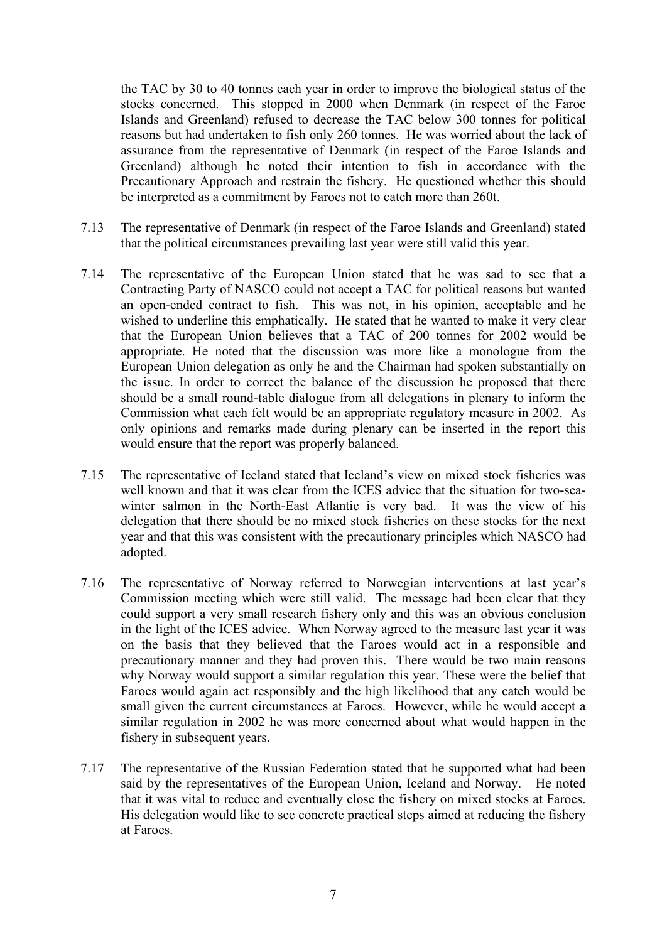the TAC by 30 to 40 tonnes each year in order to improve the biological status of the stocks concerned. This stopped in 2000 when Denmark (in respect of the Faroe Islands and Greenland) refused to decrease the TAC below 300 tonnes for political reasons but had undertaken to fish only 260 tonnes. He was worried about the lack of assurance from the representative of Denmark (in respect of the Faroe Islands and Greenland) although he noted their intention to fish in accordance with the Precautionary Approach and restrain the fishery. He questioned whether this should be interpreted as a commitment by Faroes not to catch more than 260t.

- 7.13 The representative of Denmark (in respect of the Faroe Islands and Greenland) stated that the political circumstances prevailing last year were still valid this year.
- 7.14 The representative of the European Union stated that he was sad to see that a Contracting Party of NASCO could not accept a TAC for political reasons but wanted an open-ended contract to fish. This was not, in his opinion, acceptable and he wished to underline this emphatically. He stated that he wanted to make it very clear that the European Union believes that a TAC of 200 tonnes for 2002 would be appropriate. He noted that the discussion was more like a monologue from the European Union delegation as only he and the Chairman had spoken substantially on the issue. In order to correct the balance of the discussion he proposed that there should be a small round-table dialogue from all delegations in plenary to inform the Commission what each felt would be an appropriate regulatory measure in 2002. As only opinions and remarks made during plenary can be inserted in the report this would ensure that the report was properly balanced.
- 7.15 The representative of Iceland stated that Iceland's view on mixed stock fisheries was well known and that it was clear from the ICES advice that the situation for two-seawinter salmon in the North-East Atlantic is very bad. It was the view of his delegation that there should be no mixed stock fisheries on these stocks for the next year and that this was consistent with the precautionary principles which NASCO had adopted.
- 7.16 The representative of Norway referred to Norwegian interventions at last year's Commission meeting which were still valid. The message had been clear that they could support a very small research fishery only and this was an obvious conclusion in the light of the ICES advice. When Norway agreed to the measure last year it was on the basis that they believed that the Faroes would act in a responsible and precautionary manner and they had proven this. There would be two main reasons why Norway would support a similar regulation this year. These were the belief that Faroes would again act responsibly and the high likelihood that any catch would be small given the current circumstances at Faroes. However, while he would accept a similar regulation in 2002 he was more concerned about what would happen in the fishery in subsequent years.
- 7.17 The representative of the Russian Federation stated that he supported what had been said by the representatives of the European Union, Iceland and Norway. He noted that it was vital to reduce and eventually close the fishery on mixed stocks at Faroes. His delegation would like to see concrete practical steps aimed at reducing the fishery at Faroes.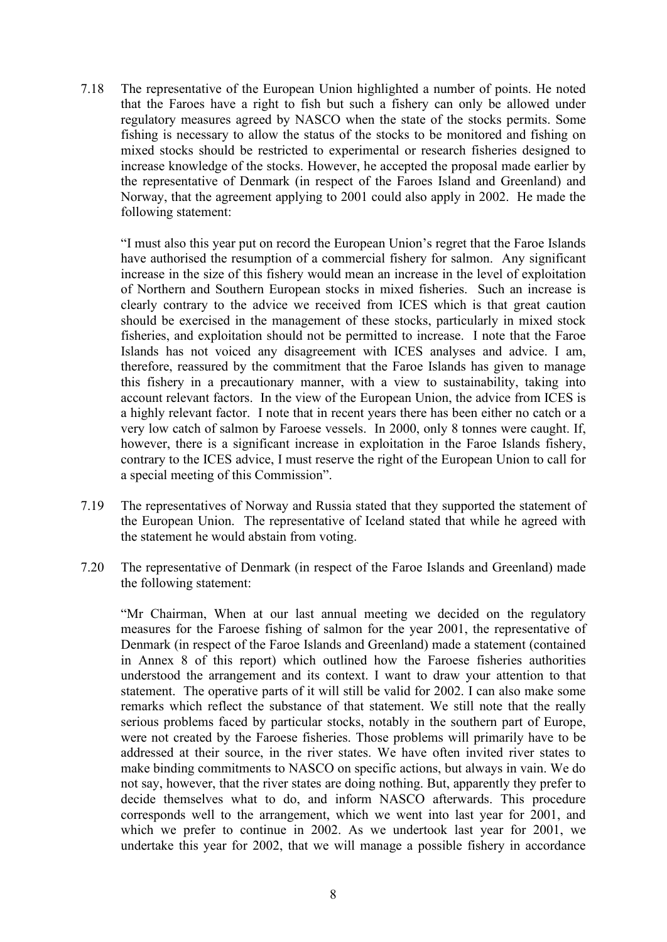7.18 The representative of the European Union highlighted a number of points. He noted that the Faroes have a right to fish but such a fishery can only be allowed under regulatory measures agreed by NASCO when the state of the stocks permits. Some fishing is necessary to allow the status of the stocks to be monitored and fishing on mixed stocks should be restricted to experimental or research fisheries designed to increase knowledge of the stocks. However, he accepted the proposal made earlier by the representative of Denmark (in respect of the Faroes Island and Greenland) and Norway, that the agreement applying to 2001 could also apply in 2002. He made the following statement:

"I must also this year put on record the European Union's regret that the Faroe Islands have authorised the resumption of a commercial fishery for salmon. Any significant increase in the size of this fishery would mean an increase in the level of exploitation of Northern and Southern European stocks in mixed fisheries. Such an increase is clearly contrary to the advice we received from ICES which is that great caution should be exercised in the management of these stocks, particularly in mixed stock fisheries, and exploitation should not be permitted to increase. I note that the Faroe Islands has not voiced any disagreement with ICES analyses and advice. I am, therefore, reassured by the commitment that the Faroe Islands has given to manage this fishery in a precautionary manner, with a view to sustainability, taking into account relevant factors. In the view of the European Union, the advice from ICES is a highly relevant factor. I note that in recent years there has been either no catch or a very low catch of salmon by Faroese vessels. In 2000, only 8 tonnes were caught. If, however, there is a significant increase in exploitation in the Faroe Islands fishery, contrary to the ICES advice, I must reserve the right of the European Union to call for a special meeting of this Commission".

- 7.19 The representatives of Norway and Russia stated that they supported the statement of the European Union. The representative of Iceland stated that while he agreed with the statement he would abstain from voting.
- 7.20 The representative of Denmark (in respect of the Faroe Islands and Greenland) made the following statement:

"Mr Chairman, When at our last annual meeting we decided on the regulatory measures for the Faroese fishing of salmon for the year 2001, the representative of Denmark (in respect of the Faroe Islands and Greenland) made a statement (contained in Annex 8 of this report) which outlined how the Faroese fisheries authorities understood the arrangement and its context. I want to draw your attention to that statement. The operative parts of it will still be valid for 2002. I can also make some remarks which reflect the substance of that statement. We still note that the really serious problems faced by particular stocks, notably in the southern part of Europe, were not created by the Faroese fisheries. Those problems will primarily have to be addressed at their source, in the river states. We have often invited river states to make binding commitments to NASCO on specific actions, but always in vain. We do not say, however, that the river states are doing nothing. But, apparently they prefer to decide themselves what to do, and inform NASCO afterwards. This procedure corresponds well to the arrangement, which we went into last year for 2001, and which we prefer to continue in 2002. As we undertook last year for 2001, we undertake this year for 2002, that we will manage a possible fishery in accordance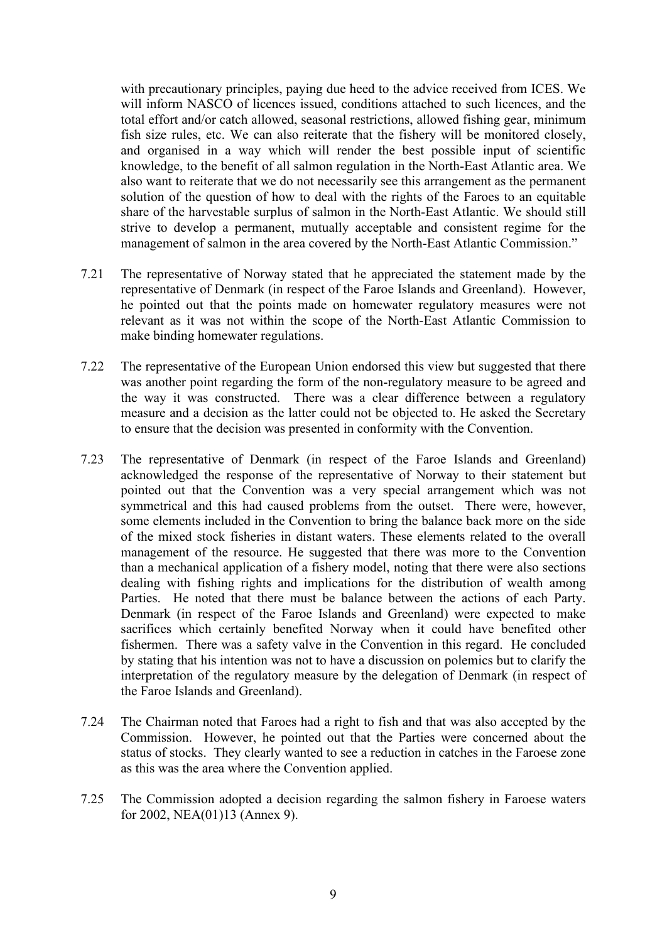with precautionary principles, paying due heed to the advice received from ICES. We will inform NASCO of licences issued, conditions attached to such licences, and the total effort and/or catch allowed, seasonal restrictions, allowed fishing gear, minimum fish size rules, etc. We can also reiterate that the fishery will be monitored closely, and organised in a way which will render the best possible input of scientific knowledge, to the benefit of all salmon regulation in the North-East Atlantic area. We also want to reiterate that we do not necessarily see this arrangement as the permanent solution of the question of how to deal with the rights of the Faroes to an equitable share of the harvestable surplus of salmon in the North-East Atlantic. We should still strive to develop a permanent, mutually acceptable and consistent regime for the management of salmon in the area covered by the North-East Atlantic Commission."

- 7.21 The representative of Norway stated that he appreciated the statement made by the representative of Denmark (in respect of the Faroe Islands and Greenland). However, he pointed out that the points made on homewater regulatory measures were not relevant as it was not within the scope of the North-East Atlantic Commission to make binding homewater regulations.
- 7.22 The representative of the European Union endorsed this view but suggested that there was another point regarding the form of the non-regulatory measure to be agreed and the way it was constructed. There was a clear difference between a regulatory measure and a decision as the latter could not be objected to. He asked the Secretary to ensure that the decision was presented in conformity with the Convention.
- 7.23 The representative of Denmark (in respect of the Faroe Islands and Greenland) acknowledged the response of the representative of Norway to their statement but pointed out that the Convention was a very special arrangement which was not symmetrical and this had caused problems from the outset. There were, however, some elements included in the Convention to bring the balance back more on the side of the mixed stock fisheries in distant waters. These elements related to the overall management of the resource. He suggested that there was more to the Convention than a mechanical application of a fishery model, noting that there were also sections dealing with fishing rights and implications for the distribution of wealth among Parties. He noted that there must be balance between the actions of each Party. Denmark (in respect of the Faroe Islands and Greenland) were expected to make sacrifices which certainly benefited Norway when it could have benefited other fishermen. There was a safety valve in the Convention in this regard. He concluded by stating that his intention was not to have a discussion on polemics but to clarify the interpretation of the regulatory measure by the delegation of Denmark (in respect of the Faroe Islands and Greenland).
- 7.24 The Chairman noted that Faroes had a right to fish and that was also accepted by the Commission. However, he pointed out that the Parties were concerned about the status of stocks. They clearly wanted to see a reduction in catches in the Faroese zone as this was the area where the Convention applied.
- 7.25 The Commission adopted a decision regarding the salmon fishery in Faroese waters for 2002, NEA(01)13 (Annex 9).